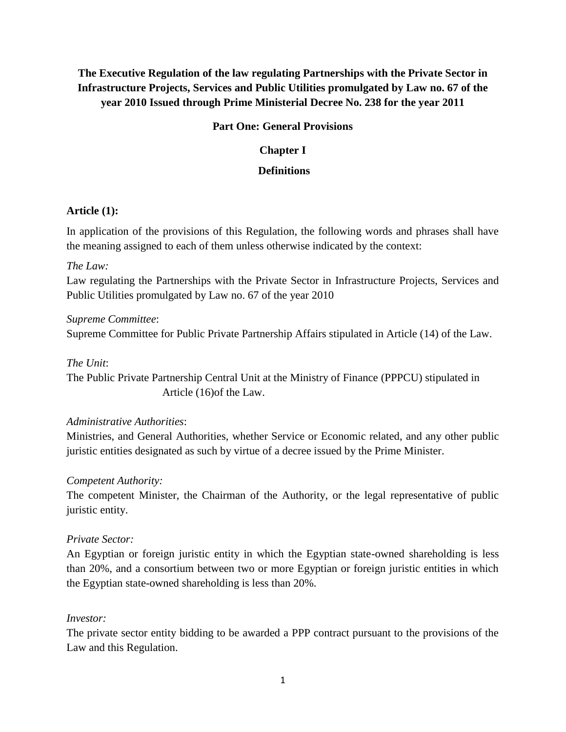# **The Executive Regulation of the law regulating Partnerships with the Private Sector in Infrastructure Projects, Services and Public Utilities promulgated by Law no. 67 of the year 2010 Issued through Prime Ministerial Decree No. 238 for the year 2011**

## **Part One: General Provisions**

## **Chapter I**

## **Definitions**

## **Article (1):**

In application of the provisions of this Regulation, the following words and phrases shall have the meaning assigned to each of them unless otherwise indicated by the context:

## *The Law:*

Law regulating the Partnerships with the Private Sector in Infrastructure Projects, Services and Public Utilities promulgated by Law no. 67 of the year 2010

## *Supreme Committee*: Supreme Committee for Public Private Partnership Affairs stipulated in Article (14) of the Law.

## *The Unit*:

The Public Private Partnership Central Unit at the Ministry of Finance (PPPCU) stipulated in Article (16)of the Law.

## *Administrative Authorities*:

Ministries, and General Authorities, whether Service or Economic related, and any other public juristic entities designated as such by virtue of a decree issued by the Prime Minister.

## *Competent Authority:*

The competent Minister, the Chairman of the Authority, or the legal representative of public juristic entity.

## *Private Sector:*

An Egyptian or foreign juristic entity in which the Egyptian state-owned shareholding is less than 20%, and a consortium between two or more Egyptian or foreign juristic entities in which the Egyptian state-owned shareholding is less than 20%.

## *Investor:*

The private sector entity bidding to be awarded a PPP contract pursuant to the provisions of the Law and this Regulation.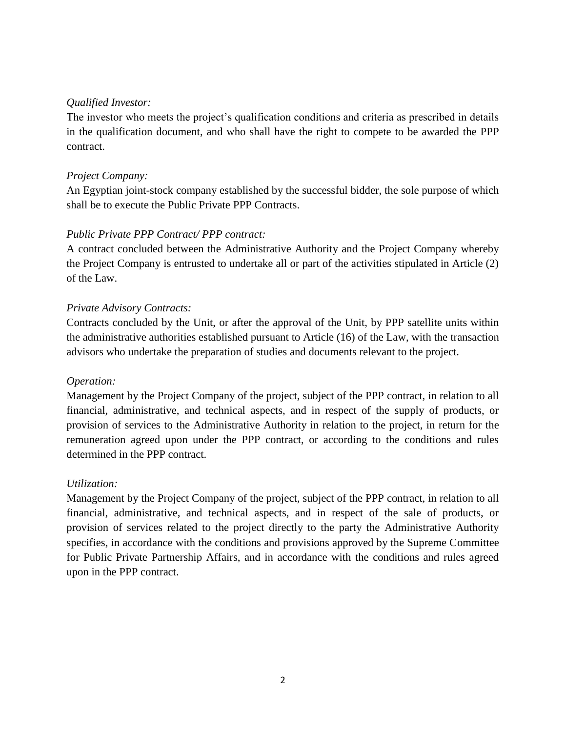## *Qualified Investor:*

The investor who meets the project's qualification conditions and criteria as prescribed in details in the qualification document, and who shall have the right to compete to be awarded the PPP contract.

## *Project Company:*

An Egyptian joint-stock company established by the successful bidder, the sole purpose of which shall be to execute the Public Private PPP Contracts.

## *Public Private PPP Contract/ PPP contract:*

A contract concluded between the Administrative Authority and the Project Company whereby the Project Company is entrusted to undertake all or part of the activities stipulated in Article (2) of the Law.

## *Private Advisory Contracts:*

Contracts concluded by the Unit, or after the approval of the Unit, by PPP satellite units within the administrative authorities established pursuant to Article (16) of the Law, with the transaction advisors who undertake the preparation of studies and documents relevant to the project.

## *Operation:*

Management by the Project Company of the project, subject of the PPP contract, in relation to all financial, administrative, and technical aspects, and in respect of the supply of products, or provision of services to the Administrative Authority in relation to the project, in return for the remuneration agreed upon under the PPP contract, or according to the conditions and rules determined in the PPP contract.

## *Utilization:*

Management by the Project Company of the project, subject of the PPP contract, in relation to all financial, administrative, and technical aspects, and in respect of the sale of products, or provision of services related to the project directly to the party the Administrative Authority specifies, in accordance with the conditions and provisions approved by the Supreme Committee for Public Private Partnership Affairs, and in accordance with the conditions and rules agreed upon in the PPP contract.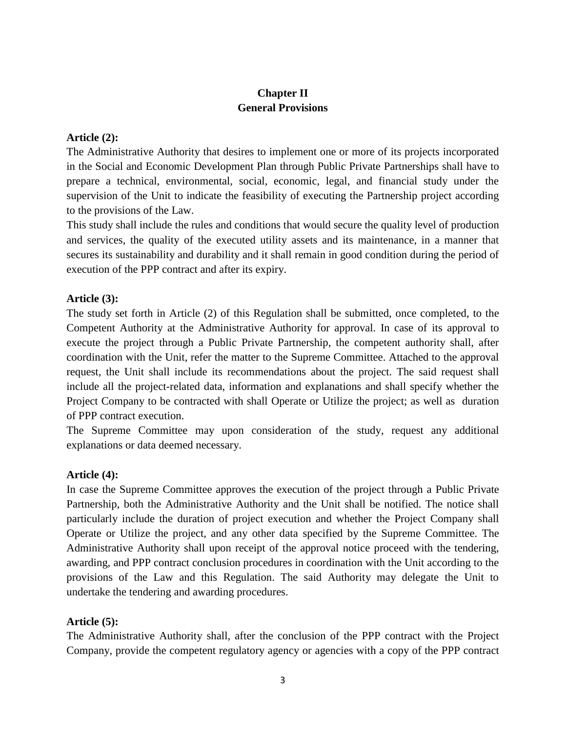## **Chapter II General Provisions**

#### **Article (2):**

The Administrative Authority that desires to implement one or more of its projects incorporated in the Social and Economic Development Plan through Public Private Partnerships shall have to prepare a technical, environmental, social, economic, legal, and financial study under the supervision of the Unit to indicate the feasibility of executing the Partnership project according to the provisions of the Law.

This study shall include the rules and conditions that would secure the quality level of production and services, the quality of the executed utility assets and its maintenance, in a manner that secures its sustainability and durability and it shall remain in good condition during the period of execution of the PPP contract and after its expiry.

### **Article (3):**

The study set forth in Article (2) of this Regulation shall be submitted, once completed, to the Competent Authority at the Administrative Authority for approval. In case of its approval to execute the project through a Public Private Partnership, the competent authority shall, after coordination with the Unit, refer the matter to the Supreme Committee. Attached to the approval request, the Unit shall include its recommendations about the project. The said request shall include all the project-related data, information and explanations and shall specify whether the Project Company to be contracted with shall Operate or Utilize the project; as well as duration of PPP contract execution.

The Supreme Committee may upon consideration of the study, request any additional explanations or data deemed necessary.

#### **Article (4):**

In case the Supreme Committee approves the execution of the project through a Public Private Partnership, both the Administrative Authority and the Unit shall be notified. The notice shall particularly include the duration of project execution and whether the Project Company shall Operate or Utilize the project, and any other data specified by the Supreme Committee. The Administrative Authority shall upon receipt of the approval notice proceed with the tendering, awarding, and PPP contract conclusion procedures in coordination with the Unit according to the provisions of the Law and this Regulation. The said Authority may delegate the Unit to undertake the tendering and awarding procedures.

#### **Article (5):**

The Administrative Authority shall, after the conclusion of the PPP contract with the Project Company, provide the competent regulatory agency or agencies with a copy of the PPP contract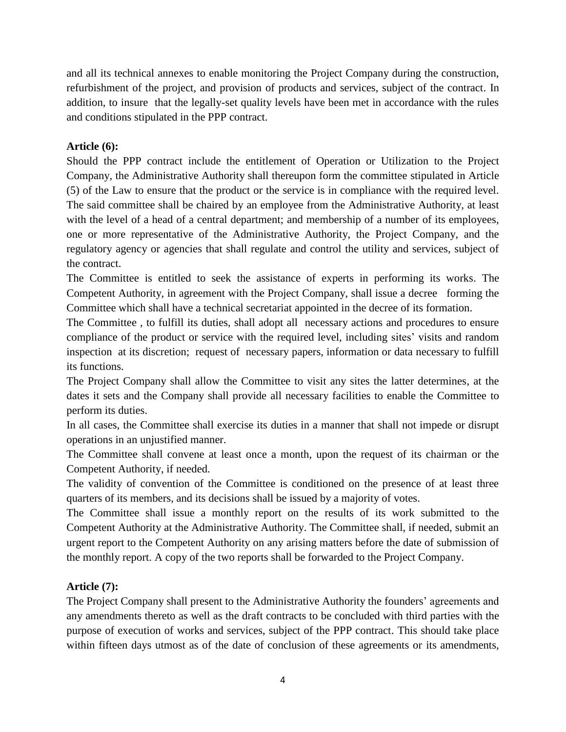and all its technical annexes to enable monitoring the Project Company during the construction, refurbishment of the project, and provision of products and services, subject of the contract. In addition, to insure that the legally-set quality levels have been met in accordance with the rules and conditions stipulated in the PPP contract.

## **Article (6):**

Should the PPP contract include the entitlement of Operation or Utilization to the Project Company, the Administrative Authority shall thereupon form the committee stipulated in Article (5) of the Law to ensure that the product or the service is in compliance with the required level. The said committee shall be chaired by an employee from the Administrative Authority, at least with the level of a head of a central department; and membership of a number of its employees, one or more representative of the Administrative Authority, the Project Company, and the regulatory agency or agencies that shall regulate and control the utility and services, subject of the contract.

The Committee is entitled to seek the assistance of experts in performing its works. The Competent Authority, in agreement with the Project Company, shall issue a decree forming the Committee which shall have a technical secretariat appointed in the decree of its formation.

The Committee , to fulfill its duties, shall adopt all necessary actions and procedures to ensure compliance of the product or service with the required level, including sites' visits and random inspection at its discretion; request of necessary papers, information or data necessary to fulfill its functions.

The Project Company shall allow the Committee to visit any sites the latter determines, at the dates it sets and the Company shall provide all necessary facilities to enable the Committee to perform its duties.

In all cases, the Committee shall exercise its duties in a manner that shall not impede or disrupt operations in an unjustified manner.

The Committee shall convene at least once a month, upon the request of its chairman or the Competent Authority, if needed.

The validity of convention of the Committee is conditioned on the presence of at least three quarters of its members, and its decisions shall be issued by a majority of votes.

The Committee shall issue a monthly report on the results of its work submitted to the Competent Authority at the Administrative Authority. The Committee shall, if needed, submit an urgent report to the Competent Authority on any arising matters before the date of submission of the monthly report. A copy of the two reports shall be forwarded to the Project Company.

## **Article (7):**

The Project Company shall present to the Administrative Authority the founders' agreements and any amendments thereto as well as the draft contracts to be concluded with third parties with the purpose of execution of works and services, subject of the PPP contract. This should take place within fifteen days utmost as of the date of conclusion of these agreements or its amendments,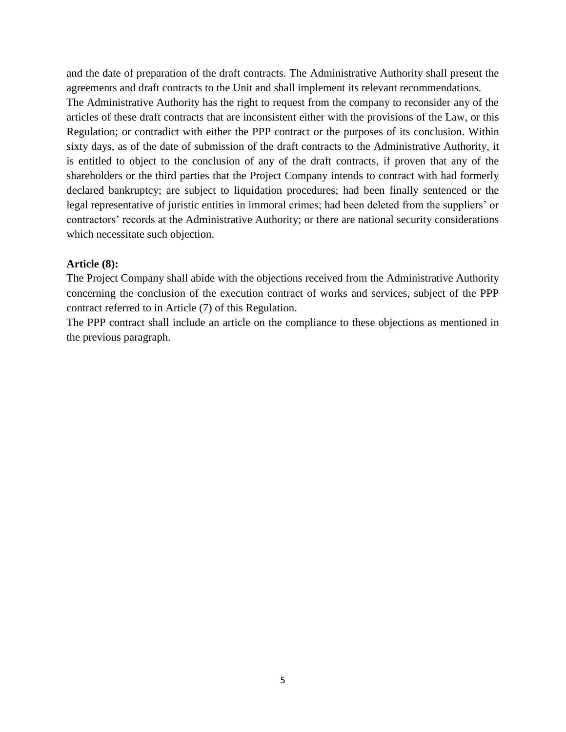and the date of preparation of the draft contracts. The Administrative Authority shall present the agreements and draft contracts to the Unit and shall implement its relevant recommendations. The Administrative Authority has the right to request from the company to reconsider any of the articles of these draft contracts that are inconsistent either with the provisions of the Law, or this Regulation; or contradict with either the PPP contract or the purposes of its conclusion. Within sixty days, as of the date of submission of the draft contracts to the Administrative Authority, it is entitled to object to the conclusion of any of the draft contracts, if proven that any of the shareholders or the third parties that the Project Company intends to contract with had formerly declared bankruptcy; are subject to liquidation procedures; had been finally sentenced or the legal representative of juristic entities in immoral crimes; had been deleted from the suppliers' or contractors' records at the Administrative Authority; or there are national security considerations which necessitate such objection.

#### **Article (8):**

The Project Company shall abide with the objections received from the Administrative Authority concerning the conclusion of the execution contract of works and services, subject of the PPP contract referred to in Article (7) of this Regulation.

The PPP contract shall include an article on the compliance to these objections as mentioned in the previous paragraph.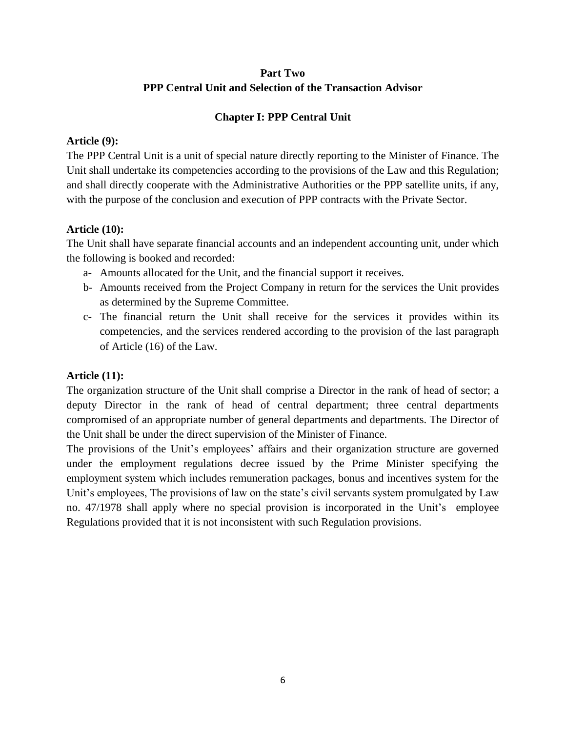# **Part Two PPP Central Unit and Selection of the Transaction Advisor**

## **Chapter I: PPP Central Unit**

### **Article (9):**

The PPP Central Unit is a unit of special nature directly reporting to the Minister of Finance. The Unit shall undertake its competencies according to the provisions of the Law and this Regulation; and shall directly cooperate with the Administrative Authorities or the PPP satellite units, if any, with the purpose of the conclusion and execution of PPP contracts with the Private Sector.

## **Article (10):**

The Unit shall have separate financial accounts and an independent accounting unit, under which the following is booked and recorded:

- a- Amounts allocated for the Unit, and the financial support it receives.
- b- Amounts received from the Project Company in return for the services the Unit provides as determined by the Supreme Committee.
- c- The financial return the Unit shall receive for the services it provides within its competencies, and the services rendered according to the provision of the last paragraph of Article (16) of the Law.

## **Article (11):**

The organization structure of the Unit shall comprise a Director in the rank of head of sector; a deputy Director in the rank of head of central department; three central departments compromised of an appropriate number of general departments and departments. The Director of the Unit shall be under the direct supervision of the Minister of Finance.

The provisions of the Unit's employees' affairs and their organization structure are governed under the employment regulations decree issued by the Prime Minister specifying the employment system which includes remuneration packages, bonus and incentives system for the Unit's employees, The provisions of law on the state's civil servants system promulgated by Law no. 47/1978 shall apply where no special provision is incorporated in the Unit's employee Regulations provided that it is not inconsistent with such Regulation provisions.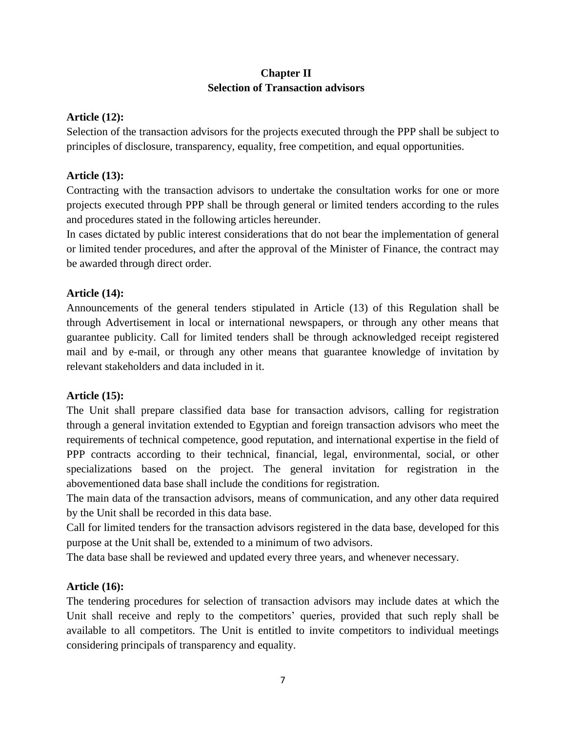## **Chapter II Selection of Transaction advisors**

### **Article (12):**

Selection of the transaction advisors for the projects executed through the PPP shall be subject to principles of disclosure, transparency, equality, free competition, and equal opportunities.

## **Article (13):**

Contracting with the transaction advisors to undertake the consultation works for one or more projects executed through PPP shall be through general or limited tenders according to the rules and procedures stated in the following articles hereunder.

In cases dictated by public interest considerations that do not bear the implementation of general or limited tender procedures, and after the approval of the Minister of Finance, the contract may be awarded through direct order.

### **Article (14):**

Announcements of the general tenders stipulated in Article (13) of this Regulation shall be through Advertisement in local or international newspapers, or through any other means that guarantee publicity. Call for limited tenders shall be through acknowledged receipt registered mail and by e-mail, or through any other means that guarantee knowledge of invitation by relevant stakeholders and data included in it.

#### **Article (15):**

The Unit shall prepare classified data base for transaction advisors, calling for registration through a general invitation extended to Egyptian and foreign transaction advisors who meet the requirements of technical competence, good reputation, and international expertise in the field of PPP contracts according to their technical, financial, legal, environmental, social, or other specializations based on the project. The general invitation for registration in the abovementioned data base shall include the conditions for registration.

The main data of the transaction advisors, means of communication, and any other data required by the Unit shall be recorded in this data base.

Call for limited tenders for the transaction advisors registered in the data base, developed for this purpose at the Unit shall be, extended to a minimum of two advisors.

The data base shall be reviewed and updated every three years, and whenever necessary.

#### **Article (16):**

The tendering procedures for selection of transaction advisors may include dates at which the Unit shall receive and reply to the competitors' queries, provided that such reply shall be available to all competitors. The Unit is entitled to invite competitors to individual meetings considering principals of transparency and equality.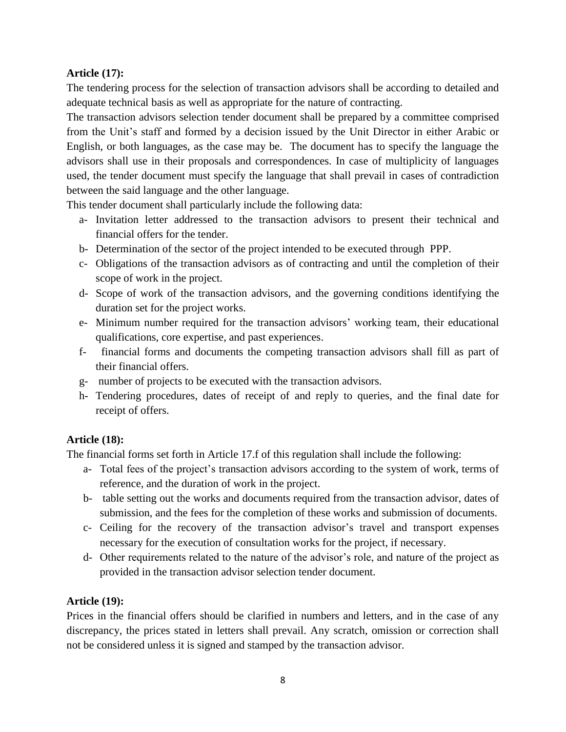## **Article (17):**

The tendering process for the selection of transaction advisors shall be according to detailed and adequate technical basis as well as appropriate for the nature of contracting.

The transaction advisors selection tender document shall be prepared by a committee comprised from the Unit's staff and formed by a decision issued by the Unit Director in either Arabic or English, or both languages, as the case may be. The document has to specify the language the advisors shall use in their proposals and correspondences. In case of multiplicity of languages used, the tender document must specify the language that shall prevail in cases of contradiction between the said language and the other language.

This tender document shall particularly include the following data:

- a- Invitation letter addressed to the transaction advisors to present their technical and financial offers for the tender.
- b- Determination of the sector of the project intended to be executed through PPP.
- c- Obligations of the transaction advisors as of contracting and until the completion of their scope of work in the project.
- d- Scope of work of the transaction advisors, and the governing conditions identifying the duration set for the project works.
- e- Minimum number required for the transaction advisors' working team, their educational qualifications, core expertise, and past experiences.
- f- financial forms and documents the competing transaction advisors shall fill as part of their financial offers.
- g- number of projects to be executed with the transaction advisors.
- h- Tendering procedures, dates of receipt of and reply to queries, and the final date for receipt of offers.

# **Article (18):**

The financial forms set forth in Article 17.f of this regulation shall include the following:

- a- Total fees of the project's transaction advisors according to the system of work, terms of reference, and the duration of work in the project.
- b- table setting out the works and documents required from the transaction advisor, dates of submission, and the fees for the completion of these works and submission of documents.
- c- Ceiling for the recovery of the transaction advisor's travel and transport expenses necessary for the execution of consultation works for the project, if necessary.
- d- Other requirements related to the nature of the advisor's role, and nature of the project as provided in the transaction advisor selection tender document.

# **Article (19):**

Prices in the financial offers should be clarified in numbers and letters, and in the case of any discrepancy, the prices stated in letters shall prevail. Any scratch, omission or correction shall not be considered unless it is signed and stamped by the transaction advisor.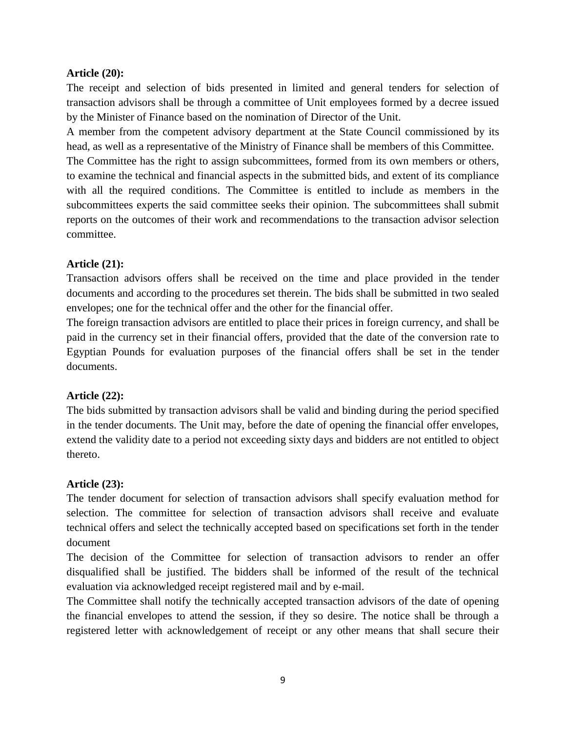### **Article (20):**

The receipt and selection of bids presented in limited and general tenders for selection of transaction advisors shall be through a committee of Unit employees formed by a decree issued by the Minister of Finance based on the nomination of Director of the Unit.

A member from the competent advisory department at the State Council commissioned by its head, as well as a representative of the Ministry of Finance shall be members of this Committee.

The Committee has the right to assign subcommittees, formed from its own members or others, to examine the technical and financial aspects in the submitted bids, and extent of its compliance with all the required conditions. The Committee is entitled to include as members in the subcommittees experts the said committee seeks their opinion. The subcommittees shall submit reports on the outcomes of their work and recommendations to the transaction advisor selection committee.

### **Article (21):**

Transaction advisors offers shall be received on the time and place provided in the tender documents and according to the procedures set therein. The bids shall be submitted in two sealed envelopes; one for the technical offer and the other for the financial offer.

The foreign transaction advisors are entitled to place their prices in foreign currency, and shall be paid in the currency set in their financial offers, provided that the date of the conversion rate to Egyptian Pounds for evaluation purposes of the financial offers shall be set in the tender documents.

## **Article (22):**

The bids submitted by transaction advisors shall be valid and binding during the period specified in the tender documents. The Unit may, before the date of opening the financial offer envelopes, extend the validity date to a period not exceeding sixty days and bidders are not entitled to object thereto.

## **Article (23):**

The tender document for selection of transaction advisors shall specify evaluation method for selection. The committee for selection of transaction advisors shall receive and evaluate technical offers and select the technically accepted based on specifications set forth in the tender document

The decision of the Committee for selection of transaction advisors to render an offer disqualified shall be justified. The bidders shall be informed of the result of the technical evaluation via acknowledged receipt registered mail and by e-mail.

The Committee shall notify the technically accepted transaction advisors of the date of opening the financial envelopes to attend the session, if they so desire. The notice shall be through a registered letter with acknowledgement of receipt or any other means that shall secure their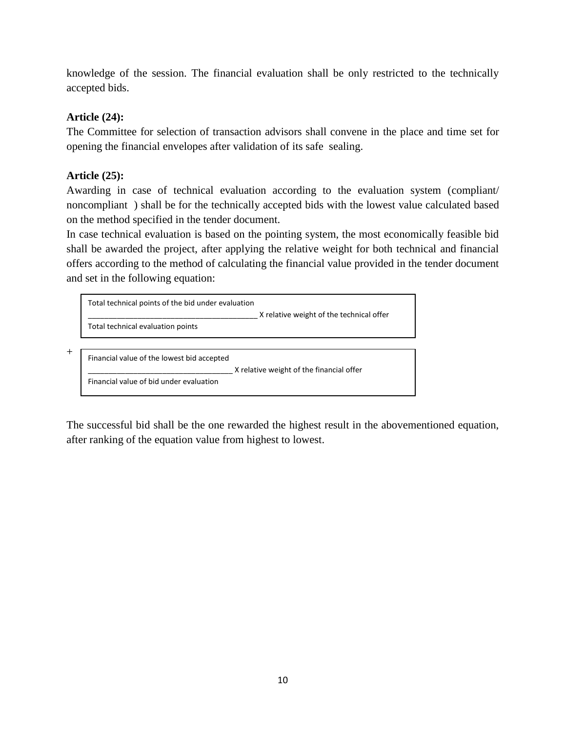knowledge of the session. The financial evaluation shall be only restricted to the technically accepted bids.

# **Article (24):**

The Committee for selection of transaction advisors shall convene in the place and time set for opening the financial envelopes after validation of its safe sealing.

# **Article (25):**

 $+$ 

Awarding in case of technical evaluation according to the evaluation system (compliant/ noncompliant ) shall be for the technically accepted bids with the lowest value calculated based on the method specified in the tender document.

In case technical evaluation is based on the pointing system, the most economically feasible bid shall be awarded the project, after applying the relative weight for both technical and financial offers according to the method of calculating the financial value provided in the tender document and set in the following equation:

| Total technical points of the bid under evaluation | X relative weight of the technical offer |
|----------------------------------------------------|------------------------------------------|
| Total technical evaluation points                  |                                          |
|                                                    |                                          |
| Financial value of the lowest bid accepted         | X relative weight of the financial offer |
| Financial value of bid under evaluation            |                                          |

The successful bid shall be the one rewarded the highest result in the abovementioned equation, after ranking of the equation value from highest to lowest.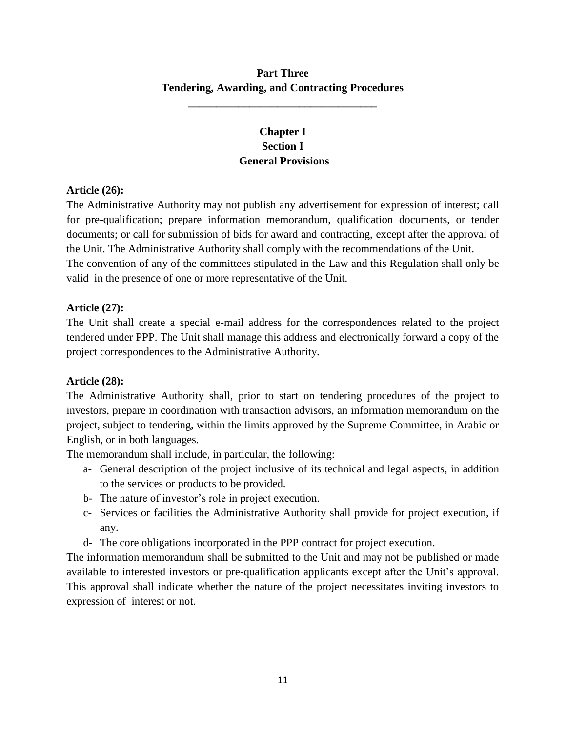# **Part Three Tendering, Awarding, and Contracting Procedures**

**\_\_\_\_\_\_\_\_\_\_\_\_\_\_\_\_\_\_\_\_\_\_\_\_\_\_\_\_\_\_\_\_\_\_**

# **Chapter I Section I General Provisions**

## **Article (26):**

The Administrative Authority may not publish any advertisement for expression of interest; call for pre-qualification; prepare information memorandum, qualification documents, or tender documents; or call for submission of bids for award and contracting, except after the approval of the Unit. The Administrative Authority shall comply with the recommendations of the Unit. The convention of any of the committees stipulated in the Law and this Regulation shall only be valid in the presence of one or more representative of the Unit.

## **Article (27):**

The Unit shall create a special e-mail address for the correspondences related to the project tendered under PPP. The Unit shall manage this address and electronically forward a copy of the project correspondences to the Administrative Authority.

# **Article (28):**

The Administrative Authority shall, prior to start on tendering procedures of the project to investors, prepare in coordination with transaction advisors, an information memorandum on the project, subject to tendering, within the limits approved by the Supreme Committee, in Arabic or English, or in both languages.

The memorandum shall include, in particular, the following:

- a- General description of the project inclusive of its technical and legal aspects, in addition to the services or products to be provided.
- b- The nature of investor's role in project execution.
- c- Services or facilities the Administrative Authority shall provide for project execution, if any.
- d- The core obligations incorporated in the PPP contract for project execution.

The information memorandum shall be submitted to the Unit and may not be published or made available to interested investors or pre-qualification applicants except after the Unit's approval. This approval shall indicate whether the nature of the project necessitates inviting investors to expression of interest or not.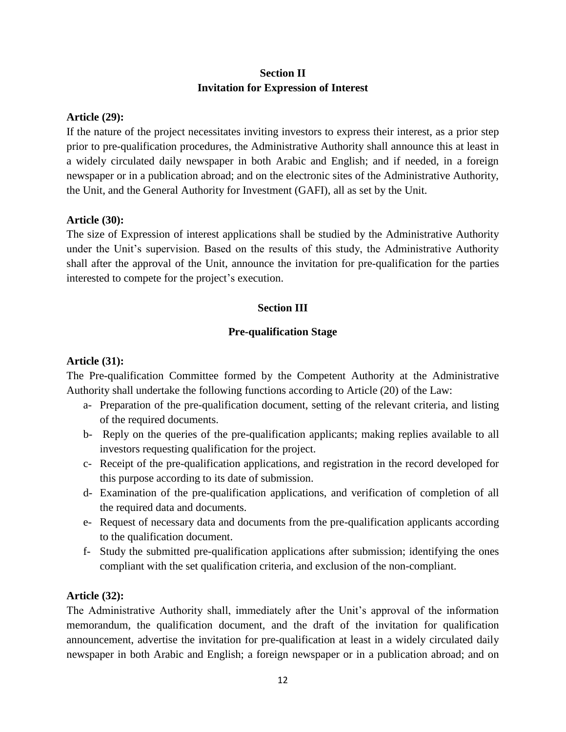## **Section II Invitation for Expression of Interest**

### **Article (29):**

If the nature of the project necessitates inviting investors to express their interest, as a prior step prior to pre-qualification procedures, the Administrative Authority shall announce this at least in a widely circulated daily newspaper in both Arabic and English; and if needed, in a foreign newspaper or in a publication abroad; and on the electronic sites of the Administrative Authority, the Unit, and the General Authority for Investment (GAFI), all as set by the Unit.

### **Article (30):**

The size of Expression of interest applications shall be studied by the Administrative Authority under the Unit's supervision. Based on the results of this study, the Administrative Authority shall after the approval of the Unit, announce the invitation for pre-qualification for the parties interested to compete for the project's execution.

## **Section III**

## **Pre-qualification Stage**

## **Article (31):**

The Pre-qualification Committee formed by the Competent Authority at the Administrative Authority shall undertake the following functions according to Article (20) of the Law:

- a- Preparation of the pre-qualification document, setting of the relevant criteria, and listing of the required documents.
- b- Reply on the queries of the pre-qualification applicants; making replies available to all investors requesting qualification for the project.
- c- Receipt of the pre-qualification applications, and registration in the record developed for this purpose according to its date of submission.
- d- Examination of the pre-qualification applications, and verification of completion of all the required data and documents.
- e- Request of necessary data and documents from the pre-qualification applicants according to the qualification document.
- f- Study the submitted pre-qualification applications after submission; identifying the ones compliant with the set qualification criteria, and exclusion of the non-compliant.

## **Article (32):**

The Administrative Authority shall, immediately after the Unit's approval of the information memorandum, the qualification document, and the draft of the invitation for qualification announcement, advertise the invitation for pre-qualification at least in a widely circulated daily newspaper in both Arabic and English; a foreign newspaper or in a publication abroad; and on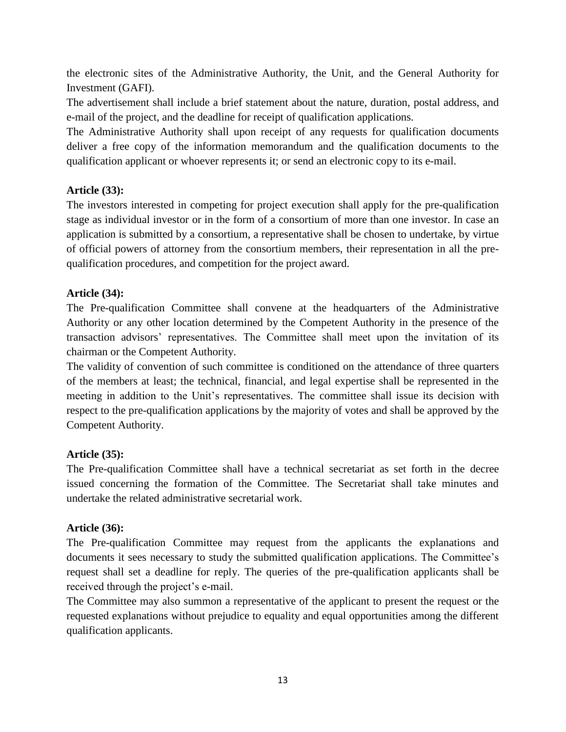the electronic sites of the Administrative Authority, the Unit, and the General Authority for Investment (GAFI).

The advertisement shall include a brief statement about the nature, duration, postal address, and e-mail of the project, and the deadline for receipt of qualification applications.

The Administrative Authority shall upon receipt of any requests for qualification documents deliver a free copy of the information memorandum and the qualification documents to the qualification applicant or whoever represents it; or send an electronic copy to its e-mail.

## **Article (33):**

The investors interested in competing for project execution shall apply for the pre-qualification stage as individual investor or in the form of a consortium of more than one investor. In case an application is submitted by a consortium, a representative shall be chosen to undertake, by virtue of official powers of attorney from the consortium members, their representation in all the prequalification procedures, and competition for the project award.

## **Article (34):**

The Pre-qualification Committee shall convene at the headquarters of the Administrative Authority or any other location determined by the Competent Authority in the presence of the transaction advisors' representatives. The Committee shall meet upon the invitation of its chairman or the Competent Authority.

The validity of convention of such committee is conditioned on the attendance of three quarters of the members at least; the technical, financial, and legal expertise shall be represented in the meeting in addition to the Unit's representatives. The committee shall issue its decision with respect to the pre-qualification applications by the majority of votes and shall be approved by the Competent Authority.

# **Article (35):**

The Pre-qualification Committee shall have a technical secretariat as set forth in the decree issued concerning the formation of the Committee. The Secretariat shall take minutes and undertake the related administrative secretarial work.

## **Article (36):**

The Pre-qualification Committee may request from the applicants the explanations and documents it sees necessary to study the submitted qualification applications. The Committee's request shall set a deadline for reply. The queries of the pre-qualification applicants shall be received through the project's e-mail.

The Committee may also summon a representative of the applicant to present the request or the requested explanations without prejudice to equality and equal opportunities among the different qualification applicants.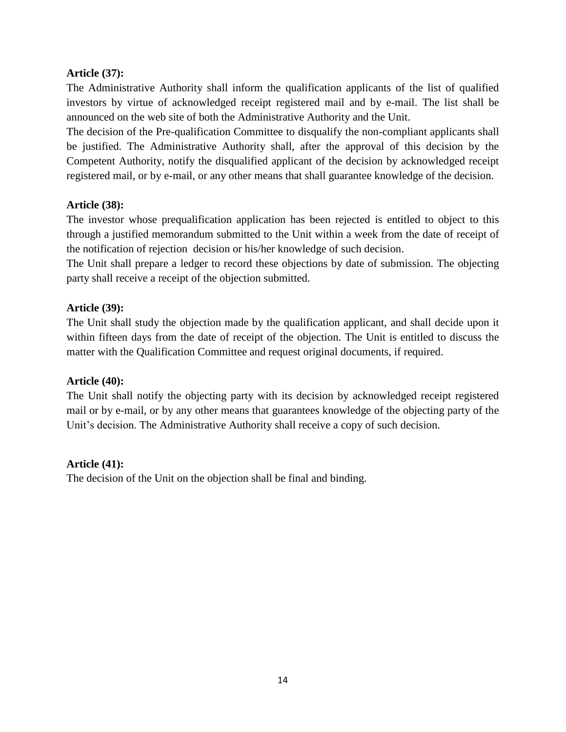### **Article (37):**

The Administrative Authority shall inform the qualification applicants of the list of qualified investors by virtue of acknowledged receipt registered mail and by e-mail. The list shall be announced on the web site of both the Administrative Authority and the Unit.

The decision of the Pre-qualification Committee to disqualify the non-compliant applicants shall be justified. The Administrative Authority shall, after the approval of this decision by the Competent Authority, notify the disqualified applicant of the decision by acknowledged receipt registered mail, or by e-mail, or any other means that shall guarantee knowledge of the decision.

### **Article (38):**

The investor whose prequalification application has been rejected is entitled to object to this through a justified memorandum submitted to the Unit within a week from the date of receipt of the notification of rejection decision or his/her knowledge of such decision.

The Unit shall prepare a ledger to record these objections by date of submission. The objecting party shall receive a receipt of the objection submitted.

### **Article (39):**

The Unit shall study the objection made by the qualification applicant, and shall decide upon it within fifteen days from the date of receipt of the objection. The Unit is entitled to discuss the matter with the Qualification Committee and request original documents, if required.

#### **Article (40):**

The Unit shall notify the objecting party with its decision by acknowledged receipt registered mail or by e-mail, or by any other means that guarantees knowledge of the objecting party of the Unit's decision. The Administrative Authority shall receive a copy of such decision.

#### **Article (41):**

The decision of the Unit on the objection shall be final and binding.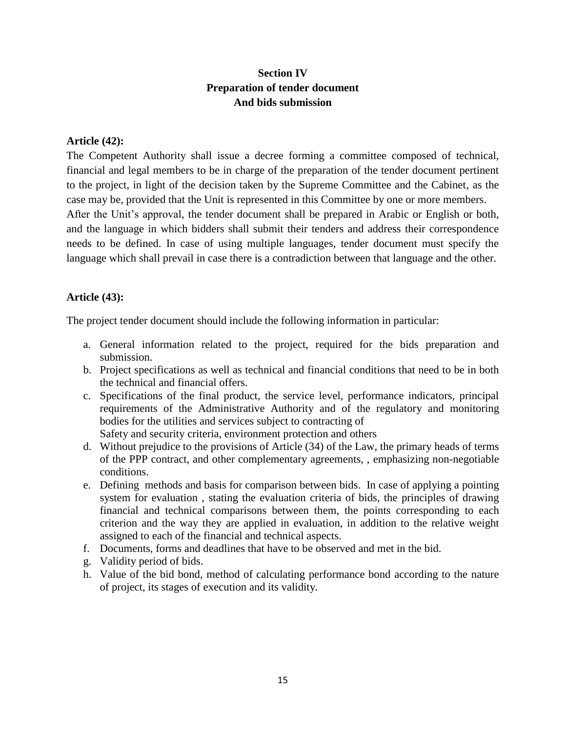## **Section IV Preparation of tender document And bids submission**

#### **Article (42):**

The Competent Authority shall issue a decree forming a committee composed of technical, financial and legal members to be in charge of the preparation of the tender document pertinent to the project, in light of the decision taken by the Supreme Committee and the Cabinet, as the case may be, provided that the Unit is represented in this Committee by one or more members. After the Unit's approval, the tender document shall be prepared in Arabic or English or both, and the language in which bidders shall submit their tenders and address their correspondence needs to be defined. In case of using multiple languages, tender document must specify the language which shall prevail in case there is a contradiction between that language and the other.

## **Article (43):**

The project tender document should include the following information in particular:

- a. General information related to the project, required for the bids preparation and submission.
- b. Project specifications as well as technical and financial conditions that need to be in both the technical and financial offers.
- c. Specifications of the final product, the service level, performance indicators, principal requirements of the Administrative Authority and of the regulatory and monitoring bodies for the utilities and services subject to contracting of Safety and security criteria, environment protection and others
- d. Without prejudice to the provisions of Article (34) of the Law, the primary heads of terms of the PPP contract, and other complementary agreements, , emphasizing non-negotiable conditions.
- e. Defining methods and basis for comparison between bids. In case of applying a pointing system for evaluation , stating the evaluation criteria of bids, the principles of drawing financial and technical comparisons between them, the points corresponding to each criterion and the way they are applied in evaluation, in addition to the relative weight assigned to each of the financial and technical aspects.
- f. Documents, forms and deadlines that have to be observed and met in the bid.
- g. Validity period of bids.
- h. Value of the bid bond, method of calculating performance bond according to the nature of project, its stages of execution and its validity.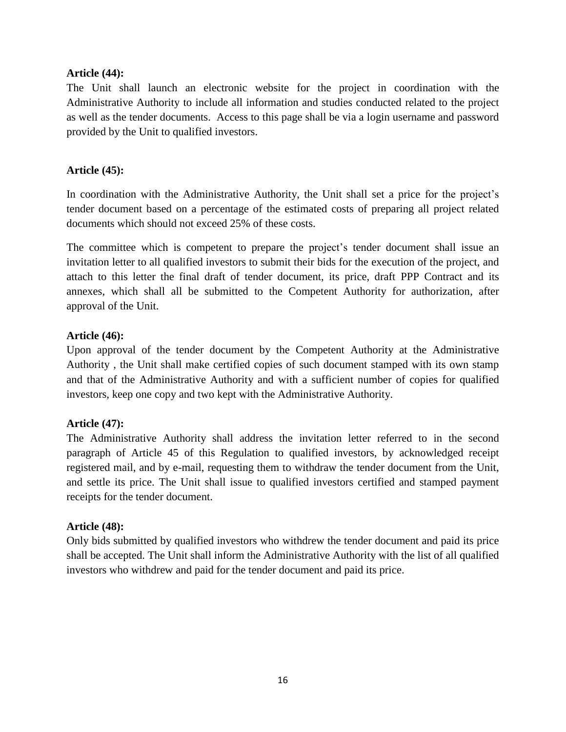#### **Article (44):**

The Unit shall launch an electronic website for the project in coordination with the Administrative Authority to include all information and studies conducted related to the project as well as the tender documents. Access to this page shall be via a login username and password provided by the Unit to qualified investors.

## **Article (45):**

In coordination with the Administrative Authority, the Unit shall set a price for the project's tender document based on a percentage of the estimated costs of preparing all project related documents which should not exceed 25% of these costs.

The committee which is competent to prepare the project's tender document shall issue an invitation letter to all qualified investors to submit their bids for the execution of the project, and attach to this letter the final draft of tender document, its price, draft PPP Contract and its annexes, which shall all be submitted to the Competent Authority for authorization, after approval of the Unit.

## **Article (46):**

Upon approval of the tender document by the Competent Authority at the Administrative Authority , the Unit shall make certified copies of such document stamped with its own stamp and that of the Administrative Authority and with a sufficient number of copies for qualified investors, keep one copy and two kept with the Administrative Authority.

## **Article (47):**

The Administrative Authority shall address the invitation letter referred to in the second paragraph of Article 45 of this Regulation to qualified investors, by acknowledged receipt registered mail, and by e-mail, requesting them to withdraw the tender document from the Unit, and settle its price. The Unit shall issue to qualified investors certified and stamped payment receipts for the tender document.

## **Article (48):**

Only bids submitted by qualified investors who withdrew the tender document and paid its price shall be accepted. The Unit shall inform the Administrative Authority with the list of all qualified investors who withdrew and paid for the tender document and paid its price.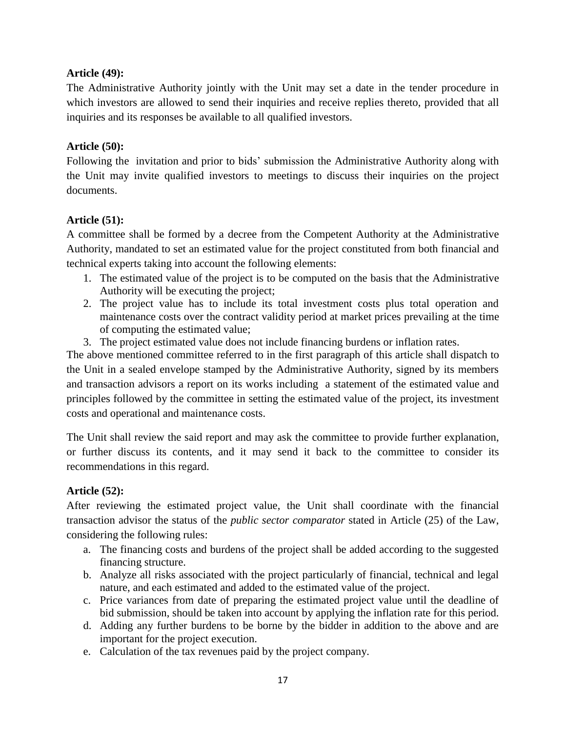## **Article (49):**

The Administrative Authority jointly with the Unit may set a date in the tender procedure in which investors are allowed to send their inquiries and receive replies thereto, provided that all inquiries and its responses be available to all qualified investors.

### **Article (50):**

Following the invitation and prior to bids' submission the Administrative Authority along with the Unit may invite qualified investors to meetings to discuss their inquiries on the project documents.

## **Article (51):**

A committee shall be formed by a decree from the Competent Authority at the Administrative Authority, mandated to set an estimated value for the project constituted from both financial and technical experts taking into account the following elements:

- 1. The estimated value of the project is to be computed on the basis that the Administrative Authority will be executing the project;
- 2. The project value has to include its total investment costs plus total operation and maintenance costs over the contract validity period at market prices prevailing at the time of computing the estimated value;
- 3. The project estimated value does not include financing burdens or inflation rates.

The above mentioned committee referred to in the first paragraph of this article shall dispatch to the Unit in a sealed envelope stamped by the Administrative Authority, signed by its members and transaction advisors a report on its works including a statement of the estimated value and principles followed by the committee in setting the estimated value of the project, its investment costs and operational and maintenance costs.

The Unit shall review the said report and may ask the committee to provide further explanation, or further discuss its contents, and it may send it back to the committee to consider its recommendations in this regard.

## **Article (52):**

After reviewing the estimated project value, the Unit shall coordinate with the financial transaction advisor the status of the *public sector comparator* stated in Article (25) of the Law, considering the following rules:

- a. The financing costs and burdens of the project shall be added according to the suggested financing structure.
- b. Analyze all risks associated with the project particularly of financial, technical and legal nature, and each estimated and added to the estimated value of the project.
- c. Price variances from date of preparing the estimated project value until the deadline of bid submission, should be taken into account by applying the inflation rate for this period.
- d. Adding any further burdens to be borne by the bidder in addition to the above and are important for the project execution.
- e. Calculation of the tax revenues paid by the project company.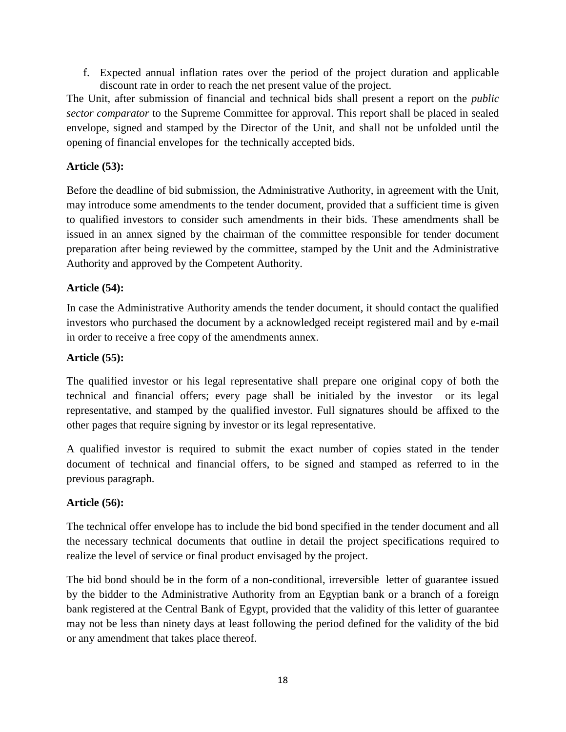f. Expected annual inflation rates over the period of the project duration and applicable discount rate in order to reach the net present value of the project.

The Unit, after submission of financial and technical bids shall present a report on the *public sector comparator* to the Supreme Committee for approval. This report shall be placed in sealed envelope, signed and stamped by the Director of the Unit, and shall not be unfolded until the opening of financial envelopes for the technically accepted bids.

## **Article (53):**

Before the deadline of bid submission, the Administrative Authority, in agreement with the Unit, may introduce some amendments to the tender document, provided that a sufficient time is given to qualified investors to consider such amendments in their bids. These amendments shall be issued in an annex signed by the chairman of the committee responsible for tender document preparation after being reviewed by the committee, stamped by the Unit and the Administrative Authority and approved by the Competent Authority.

## **Article (54):**

In case the Administrative Authority amends the tender document, it should contact the qualified investors who purchased the document by a acknowledged receipt registered mail and by e-mail in order to receive a free copy of the amendments annex.

## **Article (55):**

The qualified investor or his legal representative shall prepare one original copy of both the technical and financial offers; every page shall be initialed by the investor or its legal representative, and stamped by the qualified investor. Full signatures should be affixed to the other pages that require signing by investor or its legal representative.

A qualified investor is required to submit the exact number of copies stated in the tender document of technical and financial offers, to be signed and stamped as referred to in the previous paragraph.

## **Article (56):**

The technical offer envelope has to include the bid bond specified in the tender document and all the necessary technical documents that outline in detail the project specifications required to realize the level of service or final product envisaged by the project.

The bid bond should be in the form of a non-conditional, irreversible letter of guarantee issued by the bidder to the Administrative Authority from an Egyptian bank or a branch of a foreign bank registered at the Central Bank of Egypt, provided that the validity of this letter of guarantee may not be less than ninety days at least following the period defined for the validity of the bid or any amendment that takes place thereof.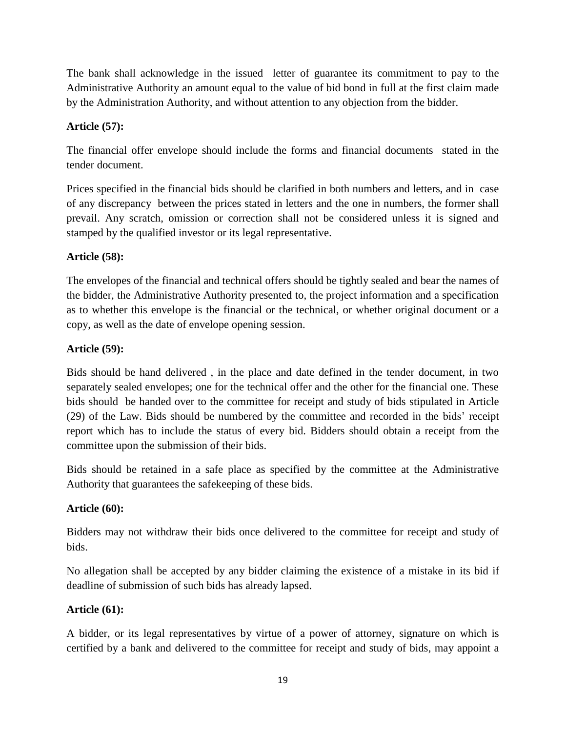The bank shall acknowledge in the issued letter of guarantee its commitment to pay to the Administrative Authority an amount equal to the value of bid bond in full at the first claim made by the Administration Authority, and without attention to any objection from the bidder.

## **Article (57):**

The financial offer envelope should include the forms and financial documents stated in the tender document.

Prices specified in the financial bids should be clarified in both numbers and letters, and in case of any discrepancy between the prices stated in letters and the one in numbers, the former shall prevail. Any scratch, omission or correction shall not be considered unless it is signed and stamped by the qualified investor or its legal representative.

## **Article (58):**

The envelopes of the financial and technical offers should be tightly sealed and bear the names of the bidder, the Administrative Authority presented to, the project information and a specification as to whether this envelope is the financial or the technical, or whether original document or a copy, as well as the date of envelope opening session.

## **Article (59):**

Bids should be hand delivered , in the place and date defined in the tender document, in two separately sealed envelopes; one for the technical offer and the other for the financial one. These bids should be handed over to the committee for receipt and study of bids stipulated in Article (29) of the Law. Bids should be numbered by the committee and recorded in the bids' receipt report which has to include the status of every bid. Bidders should obtain a receipt from the committee upon the submission of their bids.

Bids should be retained in a safe place as specified by the committee at the Administrative Authority that guarantees the safekeeping of these bids.

## **Article (60):**

Bidders may not withdraw their bids once delivered to the committee for receipt and study of bids.

No allegation shall be accepted by any bidder claiming the existence of a mistake in its bid if deadline of submission of such bids has already lapsed.

## **Article (61):**

A bidder, or its legal representatives by virtue of a power of attorney, signature on which is certified by a bank and delivered to the committee for receipt and study of bids, may appoint a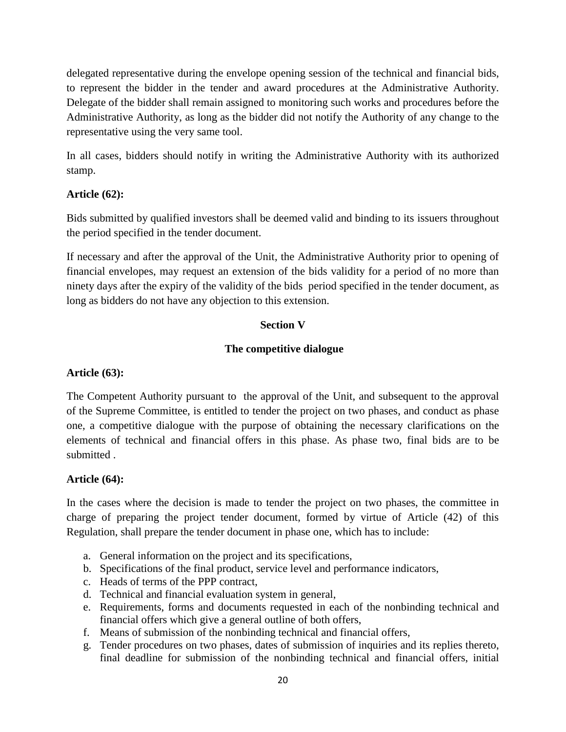delegated representative during the envelope opening session of the technical and financial bids, to represent the bidder in the tender and award procedures at the Administrative Authority. Delegate of the bidder shall remain assigned to monitoring such works and procedures before the Administrative Authority, as long as the bidder did not notify the Authority of any change to the representative using the very same tool.

In all cases, bidders should notify in writing the Administrative Authority with its authorized stamp.

## **Article (62):**

Bids submitted by qualified investors shall be deemed valid and binding to its issuers throughout the period specified in the tender document.

If necessary and after the approval of the Unit, the Administrative Authority prior to opening of financial envelopes, may request an extension of the bids validity for a period of no more than ninety days after the expiry of the validity of the bids period specified in the tender document, as long as bidders do not have any objection to this extension.

## **Section V**

## **The competitive dialogue**

## **Article (63):**

The Competent Authority pursuant to the approval of the Unit, and subsequent to the approval of the Supreme Committee, is entitled to tender the project on two phases, and conduct as phase one, a competitive dialogue with the purpose of obtaining the necessary clarifications on the elements of technical and financial offers in this phase. As phase two, final bids are to be submitted .

## **Article (64):**

In the cases where the decision is made to tender the project on two phases, the committee in charge of preparing the project tender document, formed by virtue of Article (42) of this Regulation, shall prepare the tender document in phase one, which has to include:

- a. General information on the project and its specifications,
- b. Specifications of the final product, service level and performance indicators,
- c. Heads of terms of the PPP contract,
- d. Technical and financial evaluation system in general,
- e. Requirements, forms and documents requested in each of the nonbinding technical and financial offers which give a general outline of both offers,
- f. Means of submission of the nonbinding technical and financial offers,
- g. Tender procedures on two phases, dates of submission of inquiries and its replies thereto, final deadline for submission of the nonbinding technical and financial offers, initial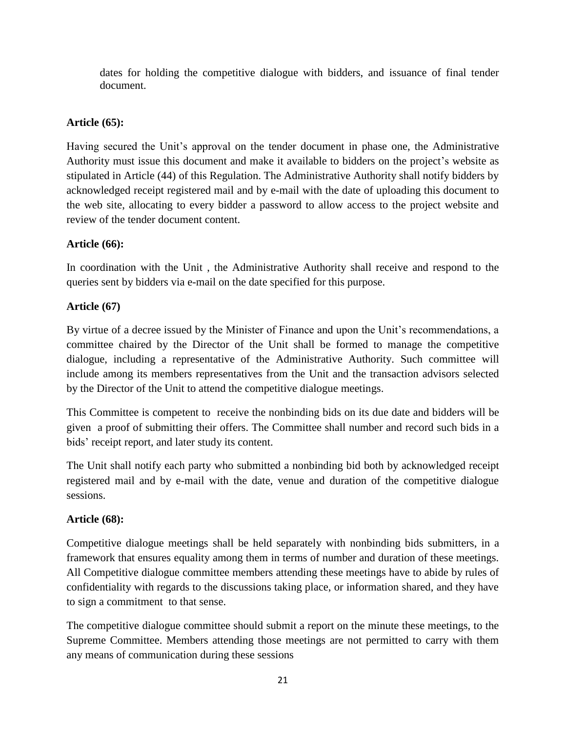dates for holding the competitive dialogue with bidders, and issuance of final tender document.

# **Article (65):**

Having secured the Unit's approval on the tender document in phase one, the Administrative Authority must issue this document and make it available to bidders on the project's website as stipulated in Article (44) of this Regulation. The Administrative Authority shall notify bidders by acknowledged receipt registered mail and by e-mail with the date of uploading this document to the web site, allocating to every bidder a password to allow access to the project website and review of the tender document content.

# **Article (66):**

In coordination with the Unit , the Administrative Authority shall receive and respond to the queries sent by bidders via e-mail on the date specified for this purpose.

# **Article (67)**

By virtue of a decree issued by the Minister of Finance and upon the Unit's recommendations, a committee chaired by the Director of the Unit shall be formed to manage the competitive dialogue, including a representative of the Administrative Authority. Such committee will include among its members representatives from the Unit and the transaction advisors selected by the Director of the Unit to attend the competitive dialogue meetings.

This Committee is competent to receive the nonbinding bids on its due date and bidders will be given a proof of submitting their offers. The Committee shall number and record such bids in a bids' receipt report, and later study its content.

The Unit shall notify each party who submitted a nonbinding bid both by acknowledged receipt registered mail and by e-mail with the date, venue and duration of the competitive dialogue sessions.

# **Article (68):**

Competitive dialogue meetings shall be held separately with nonbinding bids submitters, in a framework that ensures equality among them in terms of number and duration of these meetings. All Competitive dialogue committee members attending these meetings have to abide by rules of confidentiality with regards to the discussions taking place, or information shared, and they have to sign a commitment to that sense.

The competitive dialogue committee should submit a report on the minute these meetings, to the Supreme Committee. Members attending those meetings are not permitted to carry with them any means of communication during these sessions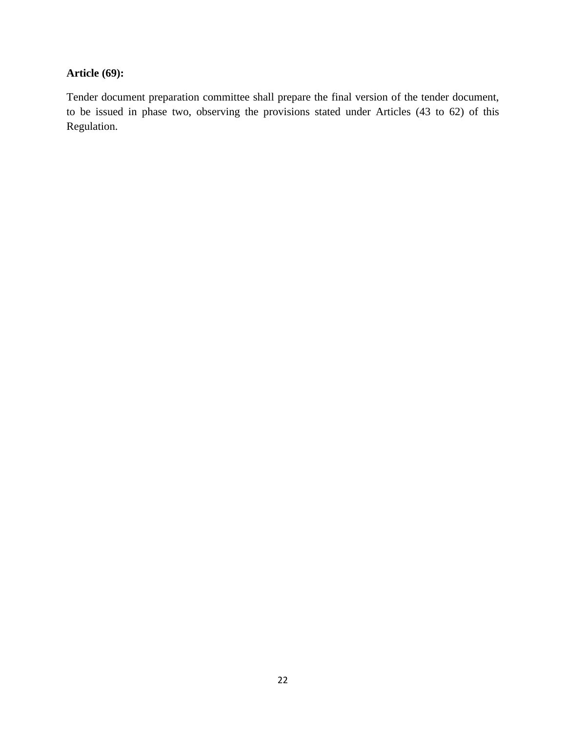## **Article (69):**

Tender document preparation committee shall prepare the final version of the tender document, to be issued in phase two, observing the provisions stated under Articles (43 to 62) of this Regulation.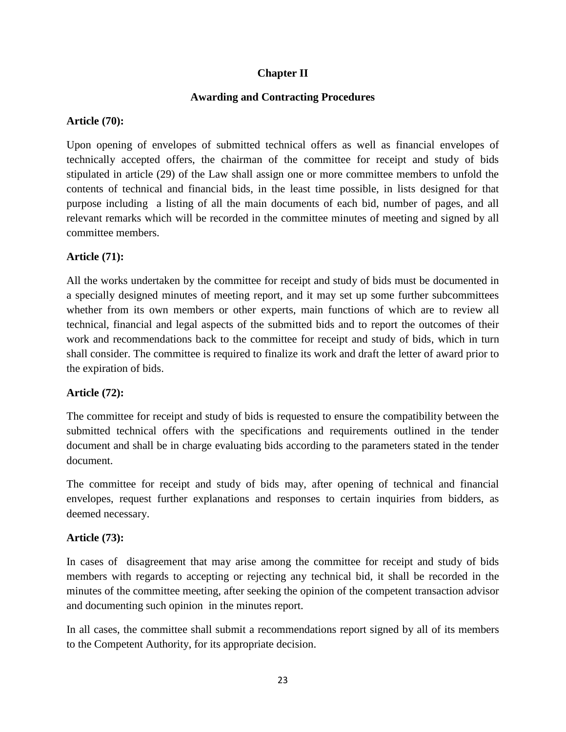## **Chapter II**

## **Awarding and Contracting Procedures**

## **Article (70):**

Upon opening of envelopes of submitted technical offers as well as financial envelopes of technically accepted offers, the chairman of the committee for receipt and study of bids stipulated in article (29) of the Law shall assign one or more committee members to unfold the contents of technical and financial bids, in the least time possible, in lists designed for that purpose including a listing of all the main documents of each bid, number of pages, and all relevant remarks which will be recorded in the committee minutes of meeting and signed by all committee members.

# **Article (71):**

All the works undertaken by the committee for receipt and study of bids must be documented in a specially designed minutes of meeting report, and it may set up some further subcommittees whether from its own members or other experts, main functions of which are to review all technical, financial and legal aspects of the submitted bids and to report the outcomes of their work and recommendations back to the committee for receipt and study of bids, which in turn shall consider. The committee is required to finalize its work and draft the letter of award prior to the expiration of bids.

# **Article (72):**

The committee for receipt and study of bids is requested to ensure the compatibility between the submitted technical offers with the specifications and requirements outlined in the tender document and shall be in charge evaluating bids according to the parameters stated in the tender document.

The committee for receipt and study of bids may, after opening of technical and financial envelopes, request further explanations and responses to certain inquiries from bidders, as deemed necessary.

# **Article (73):**

In cases of disagreement that may arise among the committee for receipt and study of bids members with regards to accepting or rejecting any technical bid, it shall be recorded in the minutes of the committee meeting, after seeking the opinion of the competent transaction advisor and documenting such opinion in the minutes report.

In all cases, the committee shall submit a recommendations report signed by all of its members to the Competent Authority, for its appropriate decision.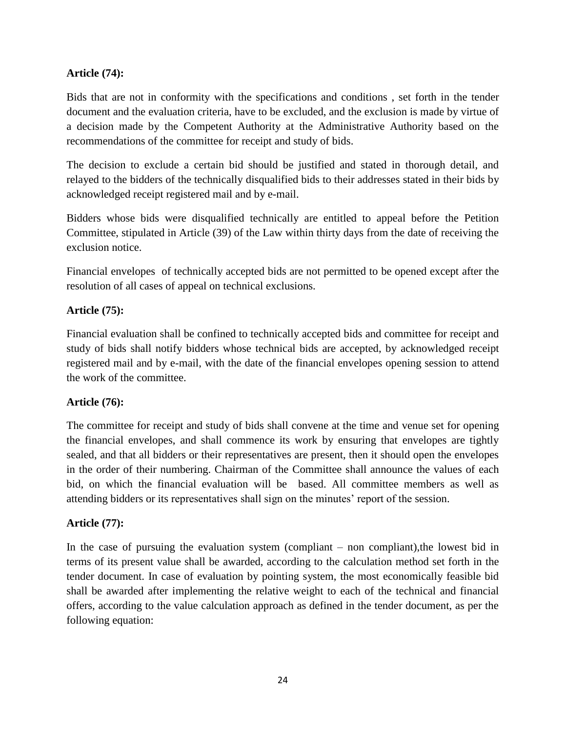## **Article (74):**

Bids that are not in conformity with the specifications and conditions , set forth in the tender document and the evaluation criteria, have to be excluded, and the exclusion is made by virtue of a decision made by the Competent Authority at the Administrative Authority based on the recommendations of the committee for receipt and study of bids.

The decision to exclude a certain bid should be justified and stated in thorough detail, and relayed to the bidders of the technically disqualified bids to their addresses stated in their bids by acknowledged receipt registered mail and by e-mail.

Bidders whose bids were disqualified technically are entitled to appeal before the Petition Committee, stipulated in Article (39) of the Law within thirty days from the date of receiving the exclusion notice.

Financial envelopes of technically accepted bids are not permitted to be opened except after the resolution of all cases of appeal on technical exclusions.

## **Article (75):**

Financial evaluation shall be confined to technically accepted bids and committee for receipt and study of bids shall notify bidders whose technical bids are accepted, by acknowledged receipt registered mail and by e-mail, with the date of the financial envelopes opening session to attend the work of the committee.

## **Article (76):**

The committee for receipt and study of bids shall convene at the time and venue set for opening the financial envelopes, and shall commence its work by ensuring that envelopes are tightly sealed, and that all bidders or their representatives are present, then it should open the envelopes in the order of their numbering. Chairman of the Committee shall announce the values of each bid, on which the financial evaluation will be based. All committee members as well as attending bidders or its representatives shall sign on the minutes' report of the session.

## **Article (77):**

In the case of pursuing the evaluation system (compliant – non compliant),the lowest bid in terms of its present value shall be awarded, according to the calculation method set forth in the tender document. In case of evaluation by pointing system, the most economically feasible bid shall be awarded after implementing the relative weight to each of the technical and financial offers, according to the value calculation approach as defined in the tender document, as per the following equation: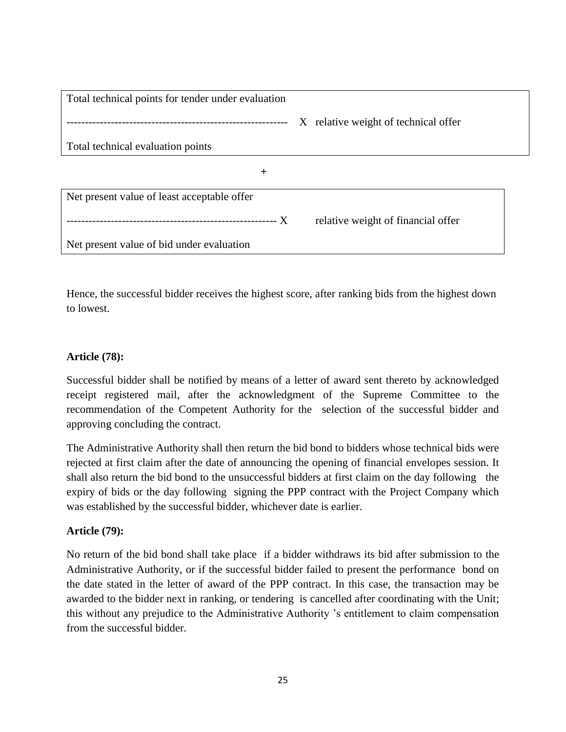| Total technical points for tender under evaluation |                                      |  |
|----------------------------------------------------|--------------------------------------|--|
|                                                    | X relative weight of technical offer |  |
| Total technical evaluation points                  |                                      |  |
| $\pm$                                              |                                      |  |
| Net present value of least acceptable offer        |                                      |  |
|                                                    | relative weight of financial offer   |  |
| Net present value of bid under evaluation          |                                      |  |

Hence, the successful bidder receives the highest score, after ranking bids from the highest down to lowest.

### **Article (78):**

Successful bidder shall be notified by means of a letter of award sent thereto by acknowledged receipt registered mail, after the acknowledgment of the Supreme Committee to the recommendation of the Competent Authority for the selection of the successful bidder and approving concluding the contract.

The Administrative Authority shall then return the bid bond to bidders whose technical bids were rejected at first claim after the date of announcing the opening of financial envelopes session. It shall also return the bid bond to the unsuccessful bidders at first claim on the day following the expiry of bids or the day following signing the PPP contract with the Project Company which was established by the successful bidder, whichever date is earlier.

#### **Article (79):**

No return of the bid bond shall take place if a bidder withdraws its bid after submission to the Administrative Authority, or if the successful bidder failed to present the performance bond on the date stated in the letter of award of the PPP contract. In this case, the transaction may be awarded to the bidder next in ranking, or tendering is cancelled after coordinating with the Unit; this without any prejudice to the Administrative Authority 's entitlement to claim compensation from the successful bidder.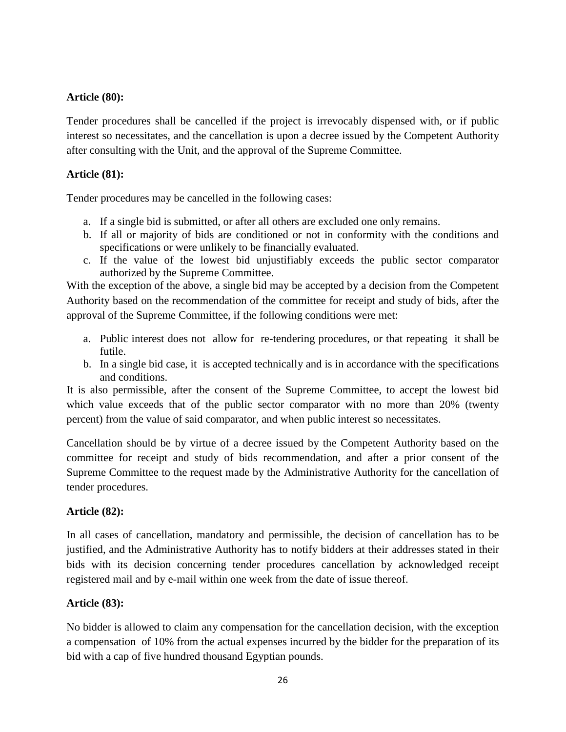### **Article (80):**

Tender procedures shall be cancelled if the project is irrevocably dispensed with, or if public interest so necessitates, and the cancellation is upon a decree issued by the Competent Authority after consulting with the Unit, and the approval of the Supreme Committee.

### **Article (81):**

Tender procedures may be cancelled in the following cases:

- a. If a single bid is submitted, or after all others are excluded one only remains.
- b. If all or majority of bids are conditioned or not in conformity with the conditions and specifications or were unlikely to be financially evaluated.
- c. If the value of the lowest bid unjustifiably exceeds the public sector comparator authorized by the Supreme Committee.

With the exception of the above, a single bid may be accepted by a decision from the Competent Authority based on the recommendation of the committee for receipt and study of bids, after the approval of the Supreme Committee, if the following conditions were met:

- a. Public interest does not allow for re-tendering procedures, or that repeating it shall be futile.
- b. In a single bid case, it is accepted technically and is in accordance with the specifications and conditions.

It is also permissible, after the consent of the Supreme Committee, to accept the lowest bid which value exceeds that of the public sector comparator with no more than 20% (twenty percent) from the value of said comparator, and when public interest so necessitates.

Cancellation should be by virtue of a decree issued by the Competent Authority based on the committee for receipt and study of bids recommendation, and after a prior consent of the Supreme Committee to the request made by the Administrative Authority for the cancellation of tender procedures.

## **Article (82):**

In all cases of cancellation, mandatory and permissible, the decision of cancellation has to be justified, and the Administrative Authority has to notify bidders at their addresses stated in their bids with its decision concerning tender procedures cancellation by acknowledged receipt registered mail and by e-mail within one week from the date of issue thereof.

## **Article (83):**

No bidder is allowed to claim any compensation for the cancellation decision, with the exception a compensation of 10% from the actual expenses incurred by the bidder for the preparation of its bid with a cap of five hundred thousand Egyptian pounds.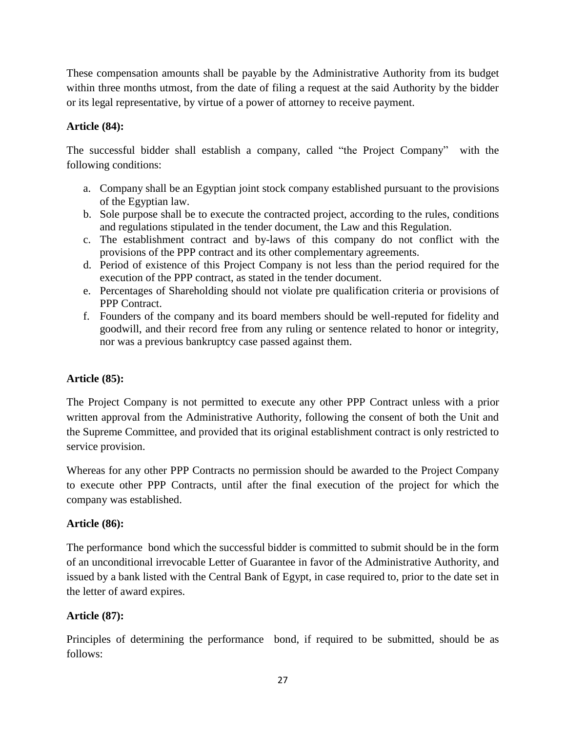These compensation amounts shall be payable by the Administrative Authority from its budget within three months utmost, from the date of filing a request at the said Authority by the bidder or its legal representative, by virtue of a power of attorney to receive payment.

## **Article (84):**

The successful bidder shall establish a company, called "the Project Company" with the following conditions:

- a. Company shall be an Egyptian joint stock company established pursuant to the provisions of the Egyptian law.
- b. Sole purpose shall be to execute the contracted project, according to the rules, conditions and regulations stipulated in the tender document, the Law and this Regulation.
- c. The establishment contract and by-laws of this company do not conflict with the provisions of the PPP contract and its other complementary agreements.
- d. Period of existence of this Project Company is not less than the period required for the execution of the PPP contract, as stated in the tender document.
- e. Percentages of Shareholding should not violate pre qualification criteria or provisions of PPP Contract.
- f. Founders of the company and its board members should be well-reputed for fidelity and goodwill, and their record free from any ruling or sentence related to honor or integrity, nor was a previous bankruptcy case passed against them.

## **Article (85):**

The Project Company is not permitted to execute any other PPP Contract unless with a prior written approval from the Administrative Authority, following the consent of both the Unit and the Supreme Committee, and provided that its original establishment contract is only restricted to service provision.

Whereas for any other PPP Contracts no permission should be awarded to the Project Company to execute other PPP Contracts, until after the final execution of the project for which the company was established.

## **Article (86):**

The performance bond which the successful bidder is committed to submit should be in the form of an unconditional irrevocable Letter of Guarantee in favor of the Administrative Authority, and issued by a bank listed with the Central Bank of Egypt, in case required to, prior to the date set in the letter of award expires.

## **Article (87):**

Principles of determining the performance bond, if required to be submitted, should be as follows: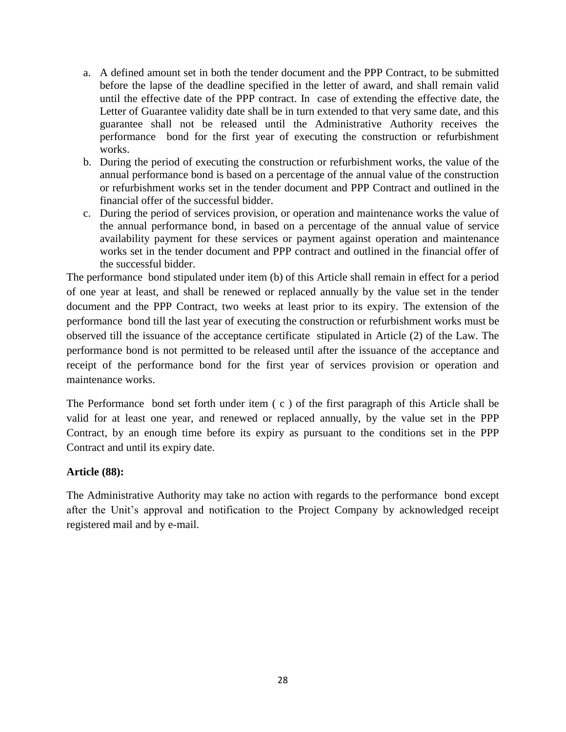- a. A defined amount set in both the tender document and the PPP Contract, to be submitted before the lapse of the deadline specified in the letter of award, and shall remain valid until the effective date of the PPP contract. In case of extending the effective date, the Letter of Guarantee validity date shall be in turn extended to that very same date, and this guarantee shall not be released until the Administrative Authority receives the performance bond for the first year of executing the construction or refurbishment works.
- b. During the period of executing the construction or refurbishment works, the value of the annual performance bond is based on a percentage of the annual value of the construction or refurbishment works set in the tender document and PPP Contract and outlined in the financial offer of the successful bidder.
- c. During the period of services provision, or operation and maintenance works the value of the annual performance bond, in based on a percentage of the annual value of service availability payment for these services or payment against operation and maintenance works set in the tender document and PPP contract and outlined in the financial offer of the successful bidder.

The performance bond stipulated under item (b) of this Article shall remain in effect for a period of one year at least, and shall be renewed or replaced annually by the value set in the tender document and the PPP Contract, two weeks at least prior to its expiry. The extension of the performance bond till the last year of executing the construction or refurbishment works must be observed till the issuance of the acceptance certificate stipulated in Article (2) of the Law. The performance bond is not permitted to be released until after the issuance of the acceptance and receipt of the performance bond for the first year of services provision or operation and maintenance works.

The Performance bond set forth under item (c) of the first paragraph of this Article shall be valid for at least one year, and renewed or replaced annually, by the value set in the PPP Contract, by an enough time before its expiry as pursuant to the conditions set in the PPP Contract and until its expiry date.

#### **Article (88):**

The Administrative Authority may take no action with regards to the performance bond except after the Unit's approval and notification to the Project Company by acknowledged receipt registered mail and by e-mail.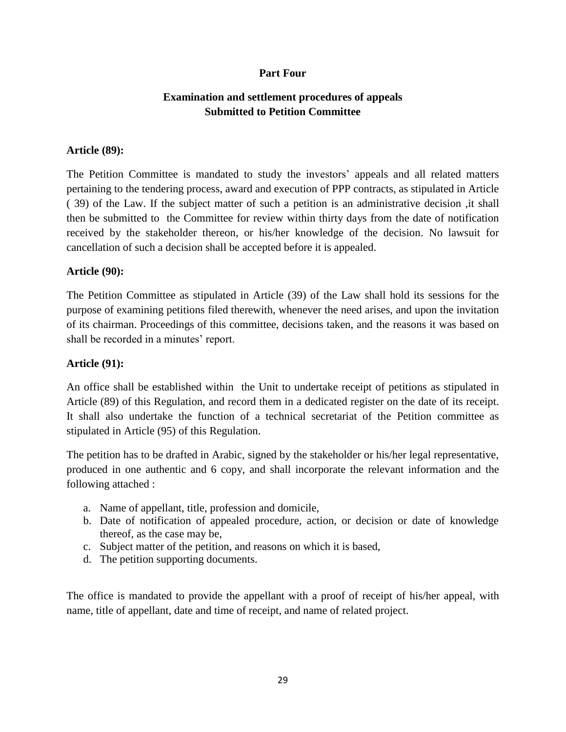### **Part Four**

## **Examination and settlement procedures of appeals Submitted to Petition Committee**

#### **Article (89):**

The Petition Committee is mandated to study the investors' appeals and all related matters pertaining to the tendering process, award and execution of PPP contracts, as stipulated in Article ( 39) of the Law. If the subject matter of such a petition is an administrative decision ,it shall then be submitted to the Committee for review within thirty days from the date of notification received by the stakeholder thereon, or his/her knowledge of the decision. No lawsuit for cancellation of such a decision shall be accepted before it is appealed.

#### **Article (90):**

The Petition Committee as stipulated in Article (39) of the Law shall hold its sessions for the purpose of examining petitions filed therewith, whenever the need arises, and upon the invitation of its chairman. Proceedings of this committee, decisions taken, and the reasons it was based on shall be recorded in a minutes' report.

#### **Article (91):**

An office shall be established within the Unit to undertake receipt of petitions as stipulated in Article (89) of this Regulation, and record them in a dedicated register on the date of its receipt. It shall also undertake the function of a technical secretariat of the Petition committee as stipulated in Article (95) of this Regulation.

The petition has to be drafted in Arabic, signed by the stakeholder or his/her legal representative, produced in one authentic and 6 copy, and shall incorporate the relevant information and the following attached :

- a. Name of appellant, title, profession and domicile,
- b. Date of notification of appealed procedure, action, or decision or date of knowledge thereof, as the case may be,
- c. Subject matter of the petition, and reasons on which it is based,
- d. The petition supporting documents.

The office is mandated to provide the appellant with a proof of receipt of his/her appeal, with name, title of appellant, date and time of receipt, and name of related project.